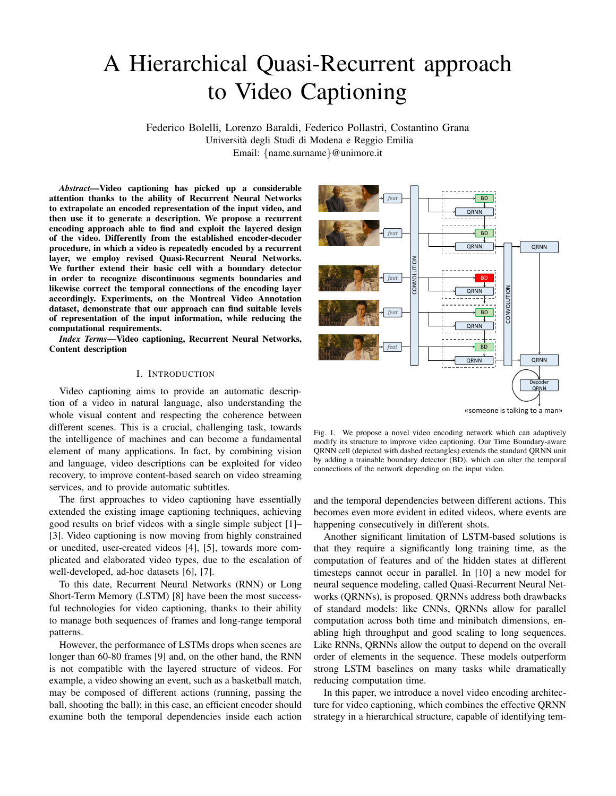# A Hierarchical Quasi-Recurrent approach to Video Captioning

Federico Bolelli, Lorenzo Baraldi, Federico Pollastri, Costantino Grana Universita degli Studi di Modena e Reggio Emilia ` Email: {name.surname}@unimore.it

*Abstract*—Video captioning has picked up a considerable attention thanks to the ability of Recurrent Neural Networks to extrapolate an encoded representation of the input video, and then use it to generate a description. We propose a recurrent encoding approach able to find and exploit the layered design of the video. Differently from the established encoder-decoder procedure, in which a video is repeatedly encoded by a recurrent layer, we employ revised Quasi-Recurrent Neural Networks. We further extend their basic cell with a boundary detector in order to recognize discontinuous segments boundaries and likewise correct the temporal connections of the encoding layer accordingly. Experiments, on the Montreal Video Annotation dataset, demonstrate that our approach can find suitable levels of representation of the input information, while reducing the computational requirements.

*Index Terms*—Video captioning, Recurrent Neural Networks, Content description

#### I. INTRODUCTION

Video captioning aims to provide an automatic description of a video in natural language, also understanding the whole visual content and respecting the coherence between different scenes. This is a crucial, challenging task, towards the intelligence of machines and can become a fundamental element of many applications. In fact, by combining vision and language, video descriptions can be exploited for video recovery, to improve content-based search on video streaming services, and to provide automatic subtitles.

The first approaches to video captioning have essentially extended the existing image captioning techniques, achieving good results on brief videos with a single simple subject [1]– [3]. Video captioning is now moving from highly constrained or unedited, user-created videos [4], [5], towards more complicated and elaborated video types, due to the escalation of well-developed, ad-hoc datasets [6], [7].

To this date, Recurrent Neural Networks (RNN) or Long Short-Term Memory (LSTM) [8] have been the most successful technologies for video captioning, thanks to their ability to manage both sequences of frames and long-range temporal patterns.

However, the performance of LSTMs drops when scenes are longer than 60-80 frames [9] and, on the other hand, the RNN is not compatible with the layered structure of videos. For example, a video showing an event, such as a basketball match, may be composed of different actions (running, passing the ball, shooting the ball); in this case, an efficient encoder should examine both the temporal dependencies inside each action



«someone is talking to a man»

Fig. 1. We propose a novel video encoding network which can adaptively modify its structure to improve video captioning. Our Time Boundary-aware QRNN cell (depicted with dashed rectangles) extends the standard QRNN unit by adding a trainable boundary detector (BD), which can alter the temporal connections of the network depending on the input video.

and the temporal dependencies between different actions. This becomes even more evident in edited videos, where events are happening consecutively in different shots.

Another significant limitation of LSTM-based solutions is that they require a significantly long training time, as the computation of features and of the hidden states at different timesteps cannot occur in parallel. In [10] a new model for neural sequence modeling, called Quasi-Recurrent Neural Networks (QRNNs), is proposed. QRNNs address both drawbacks of standard models: like CNNs, QRNNs allow for parallel computation across both time and minibatch dimensions, enabling high throughput and good scaling to long sequences. Like RNNs, QRNNs allow the output to depend on the overall order of elements in the sequence. These models outperform strong LSTM baselines on many tasks while dramatically reducing computation time.

In this paper, we introduce a novel video encoding architecture for video captioning, which combines the effective QRNN strategy in a hierarchical structure, capable of identifying tem-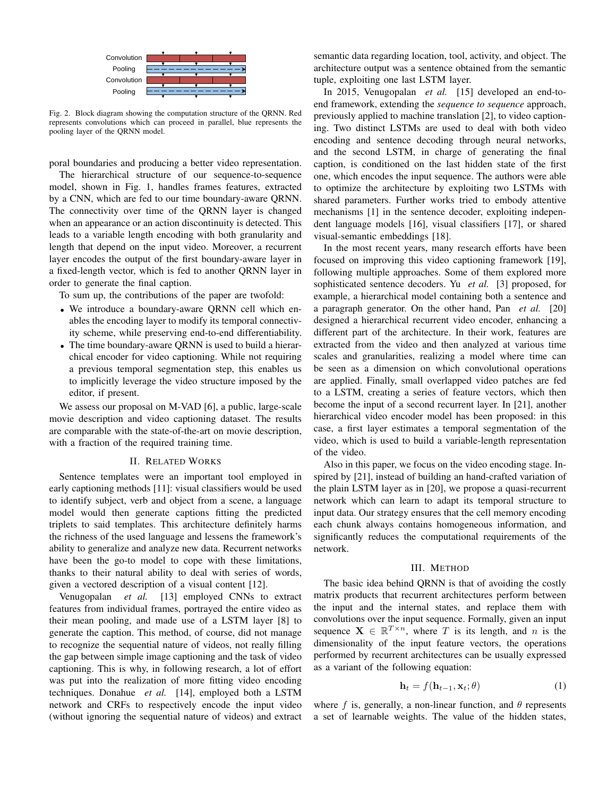

Fig. 2. Block diagram showing the computation structure of the QRNN. Red reviously represents convolutions which can proceed in parallel, blue represents the pooling layer of the QRNN model.

poral boundaries and producing a better video representation.

The hierarchical structure of our sequence-to-sequence model, shown in Fig. 1, handles frames features, extracted by a CNN, which are fed to our time boundary-aware QRNN. The connectivity over time of the QRNN layer is changed when an appearance or an action discontinuity is detected. This leads to a variable length encoding with both granularity and length that depend on the input video. Moreover, a recurrent layer encodes the output of the first boundary-aware layer in a fixed-length vector, which is fed to another QRNN layer in order to generate the final caption.

To sum up, the contributions of the paper are twofold:

- We introduce a boundary-aware QRNN cell which enables the encoding layer to modify its temporal connectivity scheme, while preserving end-to-end differentiability.
- The time boundary-aware QRNN is used to build a hierarchical encoder for video captioning. While not requiring a previous temporal segmentation step, this enables us to implicitly leverage the video structure imposed by the editor, if present.

We assess our proposal on M-VAD [6], a public, large-scale movie description and video captioning dataset. The results are comparable with the state-of-the-art on movie description, with a fraction of the required training time.

#### II. RELATED WORKS

Sentence templates were an important tool employed in early captioning methods [11]: visual classifiers would be used to identify subject, verb and object from a scene, a language model would then generate captions fitting the predicted triplets to said templates. This architecture definitely harms the richness of the used language and lessens the framework's ability to generalize and analyze new data. Recurrent networks have been the go-to model to cope with these limitations, thanks to their natural ability to deal with series of words, given a vectored description of a visual content [12].

Venugopalan *et al.* [13] employed CNNs to extract features from individual frames, portrayed the entire video as their mean pooling, and made use of a LSTM layer [8] to generate the caption. This method, of course, did not manage to recognize the sequential nature of videos, not really filling the gap between simple image captioning and the task of video captioning. This is why, in following research, a lot of effort was put into the realization of more fitting video encoding techniques. Donahue *et al.* [14], employed both a LSTM network and CRFs to respectively encode the input video (without ignoring the sequential nature of videos) and extract

semantic data regarding location, tool, activity, and object. The architecture output was a sentence obtained from the semantic tuple, exploiting one last LSTM layer.

 $2015$  Manuscapelen In 2015, Venugopalan *et al.* [15] developed an end-toend framework, extending the *sequence to sequence* approach, previously applied to machine translation [2], to video captioning. Two distinct LSTMs are used to deal with both video encoding and sentence decoding through neural networks, and the second LSTM, in charge of generating the final caption, is conditioned on the last hidden state of the first one, which encodes the input sequence. The authors were able to optimize the architecture by exploiting two LSTMs with shared parameters. Further works tried to embody attentive mechanisms [1] in the sentence decoder, exploiting independent language models [16], visual classifiers [17], or shared visual-semantic embeddings [18].

In the most recent years, many research efforts have been focused on improving this video captioning framework [19], following multiple approaches. Some of them explored more sophisticated sentence decoders. Yu *et al.* [3] proposed, for example, a hierarchical model containing both a sentence and a paragraph generator. On the other hand, Pan *et al.* [20] designed a hierarchical recurrent video encoder, enhancing a different part of the architecture. In their work, features are extracted from the video and then analyzed at various time scales and granularities, realizing a model where time can be seen as a dimension on which convolutional operations are applied. Finally, small overlapped video patches are fed to a LSTM, creating a series of feature vectors, which then become the input of a second recurrent layer. In [21], another hierarchical video encoder model has been proposed: in this case, a first layer estimates a temporal segmentation of the video, which is used to build a variable-length representation of the video.

Also in this paper, we focus on the video encoding stage. Inspired by [21], instead of building an hand-crafted variation of the plain LSTM layer as in [20], we propose a quasi-recurrent network which can learn to adapt its temporal structure to input data. Our strategy ensures that the cell memory encoding each chunk always contains homogeneous information, and significantly reduces the computational requirements of the network.

#### III. METHOD

The basic idea behind QRNN is that of avoiding the costly matrix products that recurrent architectures perform between the input and the internal states, and replace them with convolutions over the input sequence. Formally, given an input sequence  $X \in \mathbb{R}^{T \times n}$ , where T is its length, and n is the dimensionality of the input feature vectors, the operations performed by recurrent architectures can be usually expressed as a variant of the following equation:

$$
\mathbf{h}_t = f(\mathbf{h}_{t-1}, \mathbf{x}_t; \theta) \tag{1}
$$

where f is, generally, a non-linear function, and  $\theta$  represents a set of learnable weights. The value of the hidden states,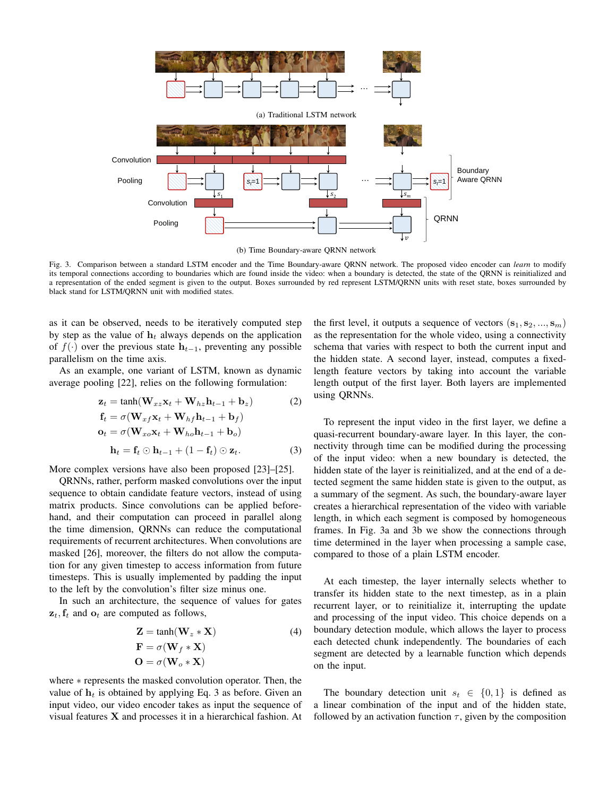

Fig. 3. Comparison between a standard LSTM encoder and the Time Boundary-aware QRNN network. The proposed video encoder can *learn* to modify its temporal connections according to boundaries which are found inside the video: when a boundary is detected, the state of the QRNN is reinitialized and a representation of the ended segment is given to the output. Boxes surrounded by red represent LSTM/QRNN units with reset state, boxes surrounded by black stand for LSTM/QRNN unit with modified states.

as it can be observed, needs to be iteratively computed step by step as the value of  $h_t$  always depends on the application of  $f(\cdot)$  over the previous state  $h_{t-1}$ , preventing any possible parallelism on the time axis.

As an example, one variant of LSTM, known as dynamic average pooling [22], relies on the following formulation:

$$
\mathbf{z}_t = \tanh(\mathbf{W}_{xz}\mathbf{x}_t + \mathbf{W}_{hz}\mathbf{h}_{t-1} + \mathbf{b}_z)
$$
 (2)

$$
\mathbf{f}_t = \sigma(\mathbf{W}_{xf}\mathbf{x}_t + \mathbf{W}_{hf}\mathbf{h}_{t-1} + \mathbf{b}_f)
$$
  
\n
$$
\mathbf{o}_t = \sigma(\mathbf{W}_{xo}\mathbf{x}_t + \mathbf{W}_{ho}\mathbf{h}_{t-1} + \mathbf{b}_o)
$$
  
\n
$$
\mathbf{h}_t = \mathbf{f}_t \odot \mathbf{h}_{t-1} + (1 - \mathbf{f}_t) \odot \mathbf{z}_t.
$$
 (3)

More complex versions have also been proposed [23]–[25].

QRNNs, rather, perform masked convolutions over the input sequence to obtain candidate feature vectors, instead of using matrix products. Since convolutions can be applied beforehand, and their computation can proceed in parallel along the time dimension, QRNNs can reduce the computational requirements of recurrent architectures. When convolutions are masked [26], moreover, the filters do not allow the computation for any given timestep to access information from future timesteps. This is usually implemented by padding the input to the left by the convolution's filter size minus one.

In such an architecture, the sequence of values for gates  $z_t$ ,  $f_t$  and  $o_t$  are computed as follows,

$$
Z = \tanh(W_z * X)
$$
  
\n
$$
F = \sigma(W_f * X)
$$
  
\n
$$
O = \sigma(W_o * X)
$$
 (4)

where ∗ represents the masked convolution operator. Then, the value of  $h_t$  is obtained by applying Eq. 3 as before. Given an input video, our video encoder takes as input the sequence of visual features X and processes it in a hierarchical fashion. At the first level, it outputs a sequence of vectors  $({\bf s}_1, {\bf s}_2, ..., {\bf s}_m)$ as the representation for the whole video, using a connectivity schema that varies with respect to both the current input and the hidden state. A second layer, instead, computes a fixedlength feature vectors by taking into account the variable length output of the first layer. Both layers are implemented using QRNNs.

To represent the input video in the first layer, we define a quasi-recurrent boundary-aware layer. In this layer, the connectivity through time can be modified during the processing of the input video: when a new boundary is detected, the hidden state of the layer is reinitialized, and at the end of a detected segment the same hidden state is given to the output, as a summary of the segment. As such, the boundary-aware layer creates a hierarchical representation of the video with variable length, in which each segment is composed by homogeneous frames. In Fig. 3a and 3b we show the connections through time determined in the layer when processing a sample case, compared to those of a plain LSTM encoder.

At each timestep, the layer internally selects whether to transfer its hidden state to the next timestep, as in a plain recurrent layer, or to reinitialize it, interrupting the update and processing of the input video. This choice depends on a boundary detection module, which allows the layer to process each detected chunk independently. The boundaries of each segment are detected by a learnable function which depends on the input.

The boundary detection unit  $s_t \in \{0, 1\}$  is defined as a linear combination of the input and of the hidden state, followed by an activation function  $\tau$ , given by the composition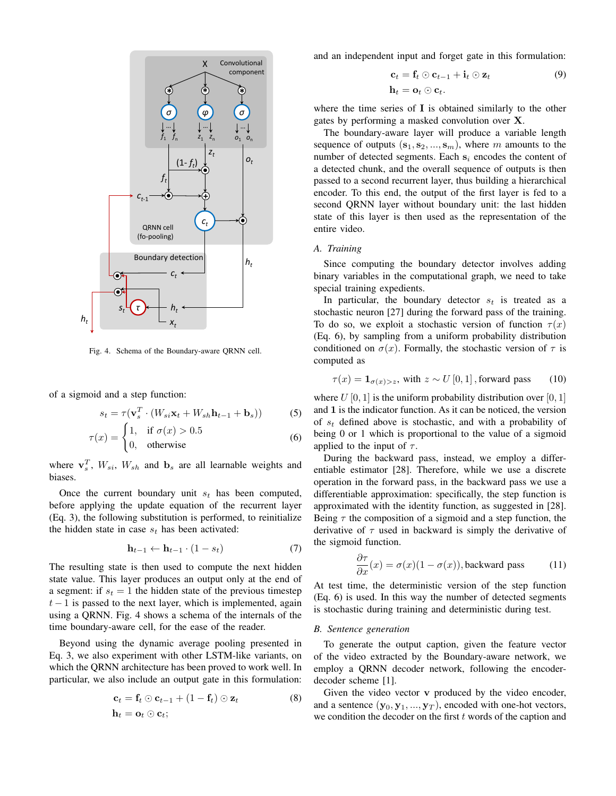

Fig. 4. Schema of the Boundary-aware QRNN cell.

of a sigmoid and a step function:

$$
s_t = \tau(\mathbf{v}_s^T \cdot (W_{si}\mathbf{x}_t + W_{sh}\mathbf{h}_{t-1} + \mathbf{b}_s))
$$
 (5)

$$
\tau(x) = \begin{cases} 1, & \text{if } \sigma(x) > 0.5 \\ 0, & \text{otherwise} \end{cases}
$$
 (6)

where  $\mathbf{v}_s^T$ ,  $W_{si}$ ,  $W_{sh}$  and  $\mathbf{b}_s$  are all learnable weights and biases.

Once the current boundary unit  $s_t$  has been computed, before applying the update equation of the recurrent layer (Eq. 3), the following substitution is performed, to reinitialize the hidden state in case  $s_t$  has been activated:

$$
\mathbf{h}_{t-1} \leftarrow \mathbf{h}_{t-1} \cdot (1 - s_t) \tag{7}
$$

The resulting state is then used to compute the next hidden state value. This layer produces an output only at the end of a segment: if  $s_t = 1$  the hidden state of the previous timestep  $t-1$  is passed to the next layer, which is implemented, again using a QRNN. Fig. 4 shows a schema of the internals of the time boundary-aware cell, for the ease of the reader.

Beyond using the dynamic average pooling presented in Eq. 3, we also experiment with other LSTM-like variants, on which the QRNN architecture has been proved to work well. In particular, we also include an output gate in this formulation:

$$
\mathbf{c}_t = \mathbf{f}_t \odot \mathbf{c}_{t-1} + (1 - \mathbf{f}_t) \odot \mathbf{z}_t
$$
  
\n
$$
\mathbf{h}_t = \mathbf{o}_t \odot \mathbf{c}_t;
$$
 (8)

and an independent input and forget gate in this formulation:

$$
\mathbf{c}_t = \mathbf{f}_t \odot \mathbf{c}_{t-1} + \mathbf{i}_t \odot \mathbf{z}_t
$$
  
\n
$$
\mathbf{h}_t = \mathbf{o}_t \odot \mathbf{c}_t.
$$
 (9)

where the time series of  $\bf{I}$  is obtained similarly to the other gates by performing a masked convolution over X.

The boundary-aware layer will produce a variable length sequence of outputs  $(s_1, s_2, ..., s_m)$ , where m amounts to the number of detected segments. Each  $s_i$  encodes the content of a detected chunk, and the overall sequence of outputs is then passed to a second recurrent layer, thus building a hierarchical encoder. To this end, the output of the first layer is fed to a second QRNN layer without boundary unit: the last hidden state of this layer is then used as the representation of the entire video.

## *A. Training*

Since computing the boundary detector involves adding binary variables in the computational graph, we need to take special training expedients.

In particular, the boundary detector  $s_t$  is treated as a stochastic neuron [27] during the forward pass of the training. To do so, we exploit a stochastic version of function  $\tau(x)$ (Eq. 6), by sampling from a uniform probability distribution conditioned on  $\sigma(x)$ . Formally, the stochastic version of  $\tau$  is computed as

$$
\tau(x) = \mathbf{1}_{\sigma(x) > z}, \text{ with } z \sim U[0, 1], \text{forward pass} \qquad (10)
$$

where  $U[0, 1]$  is the uniform probability distribution over  $[0, 1]$ and 1 is the indicator function. As it can be noticed, the version of  $s_t$  defined above is stochastic, and with a probability of being 0 or 1 which is proportional to the value of a sigmoid applied to the input of  $\tau$ .

During the backward pass, instead, we employ a differentiable estimator [28]. Therefore, while we use a discrete operation in the forward pass, in the backward pass we use a differentiable approximation: specifically, the step function is approximated with the identity function, as suggested in [28]. Being  $\tau$  the composition of a sigmoid and a step function, the derivative of  $\tau$  used in backward is simply the derivative of the sigmoid function.

$$
\frac{\partial \tau}{\partial x}(x) = \sigma(x)(1 - \sigma(x)),
$$
backward pass (11)

At test time, the deterministic version of the step function (Eq. 6) is used. In this way the number of detected segments is stochastic during training and deterministic during test.

## *B. Sentence generation*

To generate the output caption, given the feature vector of the video extracted by the Boundary-aware network, we employ a QRNN decoder network, following the encoderdecoder scheme [1].

Given the video vector v produced by the video encoder, and a sentence  $(\mathbf{y}_0, \mathbf{y}_1, ..., \mathbf{y}_T)$ , encoded with one-hot vectors, we condition the decoder on the first  $t$  words of the caption and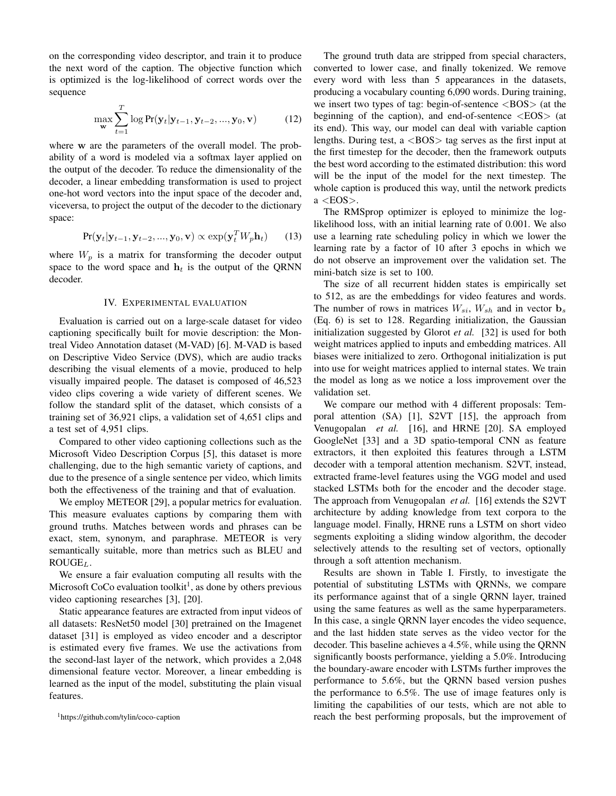on the corresponding video descriptor, and train it to produce the next word of the caption. The objective function which is optimized is the log-likelihood of correct words over the sequence

$$
\max_{\mathbf{w}} \sum_{t=1}^{T} \log \Pr(\mathbf{y}_t | \mathbf{y}_{t-1}, \mathbf{y}_{t-2}, ..., \mathbf{y}_0, \mathbf{v})
$$
(12)

where w are the parameters of the overall model. The probability of a word is modeled via a softmax layer applied on the output of the decoder. To reduce the dimensionality of the decoder, a linear embedding transformation is used to project one-hot word vectors into the input space of the decoder and, viceversa, to project the output of the decoder to the dictionary space:

$$
Pr(\mathbf{y}_t|\mathbf{y}_{t-1}, \mathbf{y}_{t-2}, ..., \mathbf{y}_0, \mathbf{v}) \propto \exp(\mathbf{y}_t^T W_p \mathbf{h}_t)
$$
 (13)

where  $W_p$  is a matrix for transforming the decoder output space to the word space and  $h_t$  is the output of the QRNN decoder.

## IV. EXPERIMENTAL EVALUATION

Evaluation is carried out on a large-scale dataset for video captioning specifically built for movie description: the Montreal Video Annotation dataset (M-VAD) [6]. M-VAD is based on Descriptive Video Service (DVS), which are audio tracks describing the visual elements of a movie, produced to help visually impaired people. The dataset is composed of 46,523 video clips covering a wide variety of different scenes. We follow the standard split of the dataset, which consists of a training set of 36,921 clips, a validation set of 4,651 clips and a test set of 4,951 clips.

Compared to other video captioning collections such as the Microsoft Video Description Corpus [5], this dataset is more challenging, due to the high semantic variety of captions, and due to the presence of a single sentence per video, which limits both the effectiveness of the training and that of evaluation.

We employ METEOR [29], a popular metrics for evaluation. This measure evaluates captions by comparing them with ground truths. Matches between words and phrases can be exact, stem, synonym, and paraphrase. METEOR is very semantically suitable, more than metrics such as BLEU and  $ROUGE_L$ .

We ensure a fair evaluation computing all results with the Microsoft CoCo evaluation toolkit<sup>1</sup>, as done by others previous video captioning researches [3], [20].

Static appearance features are extracted from input videos of all datasets: ResNet50 model [30] pretrained on the Imagenet dataset [31] is employed as video encoder and a descriptor is estimated every five frames. We use the activations from the second-last layer of the network, which provides a 2,048 dimensional feature vector. Moreover, a linear embedding is learned as the input of the model, substituting the plain visual features.

The ground truth data are stripped from special characters, converted to lower case, and finally tokenized. We remove every word with less than 5 appearances in the datasets, producing a vocabulary counting 6,090 words. During training, we insert two types of tag: begin-of-sentence <BOS> (at the beginning of the caption), and end-of-sentence  $\langle EOS \rangle$  (at its end). This way, our model can deal with variable caption lengths. During test,  $a$  <BOS  $>$  tag serves as the first input at the first timestep for the decoder, then the framework outputs the best word according to the estimated distribution: this word will be the input of the model for the next timestep. The whole caption is produced this way, until the network predicts a <EOS>.

The RMSprop optimizer is eployed to minimize the loglikelihood loss, with an initial learning rate of 0.001. We also use a learning rate scheduling policy in which we lower the learning rate by a factor of 10 after 3 epochs in which we do not observe an improvement over the validation set. The mini-batch size is set to 100.

The size of all recurrent hidden states is empirically set to 512, as are the embeddings for video features and words. The number of rows in matrices  $W_{si}$ ,  $W_{sh}$  and in vector  $\mathbf{b}_s$ (Eq. 6) is set to 128. Regarding initialization, the Gaussian initialization suggested by Glorot *et al.* [32] is used for both weight matrices applied to inputs and embedding matrices. All biases were initialized to zero. Orthogonal initialization is put into use for weight matrices applied to internal states. We train the model as long as we notice a loss improvement over the validation set.

We compare our method with 4 different proposals: Temporal attention (SA) [1], S2VT [15], the approach from Venugopalan *et al.* [16], and HRNE [20]. SA employed GoogleNet [33] and a 3D spatio-temporal CNN as feature extractors, it then exploited this features through a LSTM decoder with a temporal attention mechanism. S2VT, instead, extracted frame-level features using the VGG model and used stacked LSTMs both for the encoder and the decoder stage. The approach from Venugopalan *et al.* [16] extends the S2VT architecture by adding knowledge from text corpora to the language model. Finally, HRNE runs a LSTM on short video segments exploiting a sliding window algorithm, the decoder selectively attends to the resulting set of vectors, optionally through a soft attention mechanism.

Results are shown in Table I. Firstly, to investigate the potential of substituting LSTMs with QRNNs, we compare its performance against that of a single QRNN layer, trained using the same features as well as the same hyperparameters. In this case, a single QRNN layer encodes the video sequence, and the last hidden state serves as the video vector for the decoder. This baseline achieves a 4.5%, while using the QRNN significantly boosts performance, yielding a 5.0%. Introducing the boundary-aware encoder with LSTMs further improves the performance to 5.6%, but the QRNN based version pushes the performance to 6.5%. The use of image features only is limiting the capabilities of our tests, which are not able to reach the best performing proposals, but the improvement of

<sup>1</sup>https://github.com/tylin/coco-caption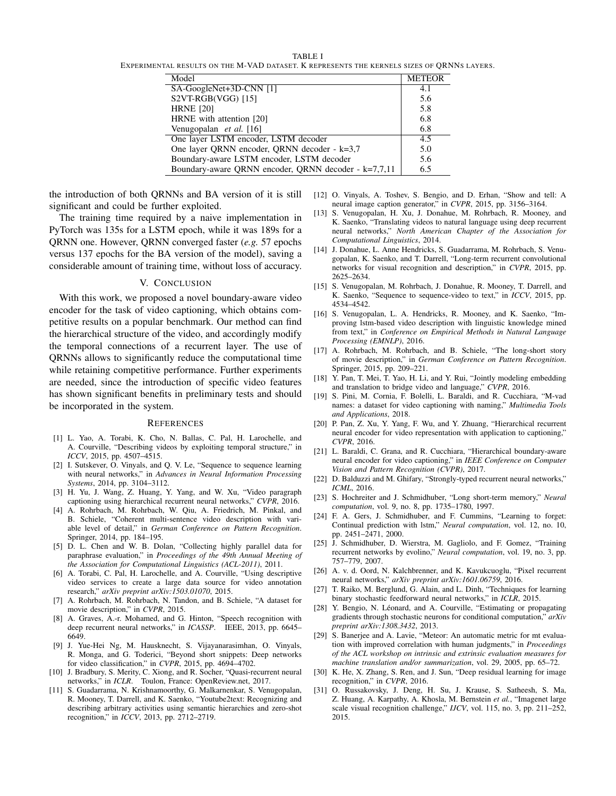TABLE I EXPERIMENTAL RESULTS ON THE M-VAD DATASET. K REPRESENTS THE KERNELS SIZES OF QRNNS LAYERS.

| Model                                                | <b>METEOR</b> |
|------------------------------------------------------|---------------|
| SA-GoogleNet+3D-CNN [1]                              | 4.1           |
| S2VT-RGB(VGG) [15]                                   | 5.6           |
| <b>HRNE [20]</b>                                     | 5.8           |
| HRNE with attention [20]                             | 6.8           |
| Venugopalan et al. [16]                              | 6.8           |
| One layer LSTM encoder, LSTM decoder                 | 4.5           |
| One layer QRNN encoder, QRNN decoder - k=3,7         | 5.0           |
| Boundary-aware LSTM encoder, LSTM decoder            | 5.6           |
| Boundary-aware ORNN encoder, ORNN decoder - k=7,7,11 | 6.5           |

the introduction of both QRNNs and BA version of it is still significant and could be further exploited.

The training time required by a naive implementation in PyTorch was 135s for a LSTM epoch, while it was 189s for a QRNN one. However, QRNN converged faster (*e.g.* 57 epochs versus 137 epochs for the BA version of the model), saving a considerable amount of training time, without loss of accuracy.

## V. CONCLUSION

With this work, we proposed a novel boundary-aware video encoder for the task of video captioning, which obtains competitive results on a popular benchmark. Our method can find the hierarchical structure of the video, and accordingly modify the temporal connections of a recurrent layer. The use of QRNNs allows to significantly reduce the computational time while retaining competitive performance. Further experiments are needed, since the introduction of specific video features has shown significant benefits in preliminary tests and should be incorporated in the system.

#### **REFERENCES**

- [1] L. Yao, A. Torabi, K. Cho, N. Ballas, C. Pal, H. Larochelle, and A. Courville, "Describing videos by exploiting temporal structure," in *ICCV*, 2015, pp. 4507–4515.
- [2] I. Sutskever, O. Vinyals, and Q. V. Le, "Sequence to sequence learning with neural networks," in *Advances in Neural Information Processing Systems*, 2014, pp. 3104–3112.
- [3] H. Yu, J. Wang, Z. Huang, Y. Yang, and W. Xu, "Video paragraph captioning using hierarchical recurrent neural networks," *CVPR*, 2016.
- [4] A. Rohrbach, M. Rohrbach, W. Qiu, A. Friedrich, M. Pinkal, and B. Schiele, "Coherent multi-sentence video description with variable level of detail," in *German Conference on Pattern Recognition*. Springer, 2014, pp. 184–195.
- [5] D. L. Chen and W. B. Dolan, "Collecting highly parallel data for paraphrase evaluation," in *Proceedings of the 49th Annual Meeting of the Association for Computational Linguistics (ACL-2011)*, 2011.
- [6] A. Torabi, C. Pal, H. Larochelle, and A. Courville, "Using descriptive video services to create a large data source for video annotation research," *arXiv preprint arXiv:1503.01070*, 2015.
- [7] A. Rohrbach, M. Rohrbach, N. Tandon, and B. Schiele, "A dataset for movie description," in *CVPR*, 2015.
- [8] A. Graves, A.-r. Mohamed, and G. Hinton, "Speech recognition with deep recurrent neural networks," in *ICASSP*. IEEE, 2013, pp. 6645– 6649.
- [9] J. Yue-Hei Ng, M. Hausknecht, S. Vijayanarasimhan, O. Vinyals, R. Monga, and G. Toderici, "Beyond short snippets: Deep networks for video classification," in *CVPR*, 2015, pp. 4694–4702.
- [10] J. Bradbury, S. Merity, C. Xiong, and R. Socher, "Quasi-recurrent neural networks," in *ICLR*. Toulon, France: OpenReview.net, 2017.
- [11] S. Guadarrama, N. Krishnamoorthy, G. Malkarnenkar, S. Venugopalan, R. Mooney, T. Darrell, and K. Saenko, "Youtube2text: Recognizing and describing arbitrary activities using semantic hierarchies and zero-shot recognition," in *ICCV*, 2013, pp. 2712–2719.
- [12] O. Vinyals, A. Toshev, S. Bengio, and D. Erhan, "Show and tell: A neural image caption generator," in *CVPR*, 2015, pp. 3156–3164.
- [13] S. Venugopalan, H. Xu, J. Donahue, M. Rohrbach, R. Mooney, and K. Saenko, "Translating videos to natural language using deep recurrent neural networks," *North American Chapter of the Association for Computational Linguistics*, 2014.
- [14] J. Donahue, L. Anne Hendricks, S. Guadarrama, M. Rohrbach, S. Venugopalan, K. Saenko, and T. Darrell, "Long-term recurrent convolutional networks for visual recognition and description," in *CVPR*, 2015, pp. 2625–2634.
- [15] S. Venugopalan, M. Rohrbach, J. Donahue, R. Mooney, T. Darrell, and K. Saenko, "Sequence to sequence-video to text," in *ICCV*, 2015, pp. 4534–4542.
- [16] S. Venugopalan, L. A. Hendricks, R. Mooney, and K. Saenko, "Improving lstm-based video description with linguistic knowledge mined from text," in *Conference on Empirical Methods in Natural Language Processing (EMNLP)*, 2016.
- [17] A. Rohrbach, M. Rohrbach, and B. Schiele, "The long-short story of movie description," in *German Conference on Pattern Recognition*. Springer, 2015, pp. 209–221.
- [18] Y. Pan, T. Mei, T. Yao, H. Li, and Y. Rui, "Jointly modeling embedding and translation to bridge video and language," *CVPR*, 2016.
- [19] S. Pini, M. Cornia, F. Bolelli, L. Baraldi, and R. Cucchiara, "M-vad names: a dataset for video captioning with naming," *Multimedia Tools and Applications*, 2018.
- [20] P. Pan, Z. Xu, Y. Yang, F. Wu, and Y. Zhuang, "Hierarchical recurrent neural encoder for video representation with application to captioning," *CVPR*, 2016.
- [21] L. Baraldi, C. Grana, and R. Cucchiara, "Hierarchical boundary-aware neural encoder for video captioning," in *IEEE Conference on Computer Vision and Pattern Recognition (CVPR)*, 2017.
- [22] D. Balduzzi and M. Ghifary, "Strongly-typed recurrent neural networks," *ICML*, 2016.
- [23] S. Hochreiter and J. Schmidhuber, "Long short-term memory," *Neural computation*, vol. 9, no. 8, pp. 1735–1780, 1997.
- [24] F. A. Gers, J. Schmidhuber, and F. Cummins, "Learning to forget: Continual prediction with lstm," *Neural computation*, vol. 12, no. 10, pp. 2451–2471, 2000.
- [25] J. Schmidhuber, D. Wierstra, M. Gagliolo, and F. Gomez, "Training recurrent networks by evolino," *Neural computation*, vol. 19, no. 3, pp. 757–779, 2007.
- [26] A. v. d. Oord, N. Kalchbrenner, and K. Kavukcuoglu, "Pixel recurrent neural networks," *arXiv preprint arXiv:1601.06759*, 2016.
- [27] T. Raiko, M. Berglund, G. Alain, and L. Dinh, "Techniques for learning binary stochastic feedforward neural networks," in *ICLR*, 2015.
- [28] Y. Bengio, N. Léonard, and A. Courville, "Estimating or propagating gradients through stochastic neurons for conditional computation," *arXiv preprint arXiv:1308.3432*, 2013.
- [29] S. Banerjee and A. Lavie, "Meteor: An automatic metric for mt evaluation with improved correlation with human judgments," in *Proceedings of the ACL workshop on intrinsic and extrinsic evaluation measures for machine translation and/or summarization*, vol. 29, 2005, pp. 65–72.
- [30] K. He, X. Zhang, S. Ren, and J. Sun, "Deep residual learning for image recognition," in *CVPR*, 2016.
- [31] O. Russakovsky, J. Deng, H. Su, J. Krause, S. Satheesh, S. Ma, Z. Huang, A. Karpathy, A. Khosla, M. Bernstein *et al.*, "Imagenet large scale visual recognition challenge," *IJCV*, vol. 115, no. 3, pp. 211–252, 2015.